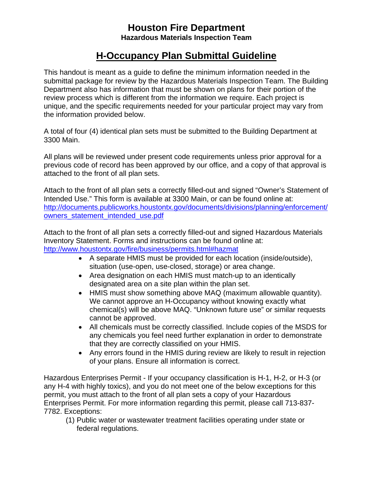## **Houston Fire Department Hazardous Materials Inspection Team**

## **H-Occupancy Plan Submittal Guideline**

This handout is meant as a guide to define the minimum information needed in the submittal package for review by the Hazardous Materials Inspection Team. The Building Department also has information that must be shown on plans for their portion of the review process which is different from the information we require. Each project is unique, and the specific requirements needed for your particular project may vary from the information provided below.

A total of four (4) identical plan sets must be submitted to the Building Department at 3300 Main.

All plans will be reviewed under present code requirements unless prior approval for a previous code of record has been approved by our office, and a copy of that approval is attached to the front of all plan sets.

Attach to the front of all plan sets a correctly filled-out and signed "Owner's Statement of Intended Use." This form is available at 3300 Main, or can be found online at: http://documents.publicworks.houstontx.gov/documents/divisions/planning/enforcement/ owners\_statement\_intended\_use.pdf

Attach to the front of all plan sets a correctly filled-out and signed Hazardous Materials Inventory Statement. Forms and instructions can be found online at: http://www.houstontx.gov/fire/business/permits.html#hazmat

- A separate HMIS must be provided for each location (inside/outside), situation (use-open, use-closed, storage) or area change.
- Area designation on each HMIS must match-up to an identically designated area on a site plan within the plan set.
- HMIS must show something above MAQ (maximum allowable quantity). We cannot approve an H-Occupancy without knowing exactly what chemical(s) will be above MAQ. "Unknown future use" or similar requests cannot be approved.
- All chemicals must be correctly classified. Include copies of the MSDS for any chemicals you feel need further explanation in order to demonstrate that they are correctly classified on your HMIS.
- Any errors found in the HMIS during review are likely to result in rejection of your plans. Ensure all information is correct.

Hazardous Enterprises Permit - If your occupancy classification is H-1, H-2, or H-3 (or any H-4 with highly toxics), and you do not meet one of the below exceptions for this permit, you must attach to the front of all plan sets a copy of your Hazardous Enterprises Permit. For more information regarding this permit, please call 713-837- 7782. Exceptions:

(1) Public water or wastewater treatment facilities operating under state or federal regulations.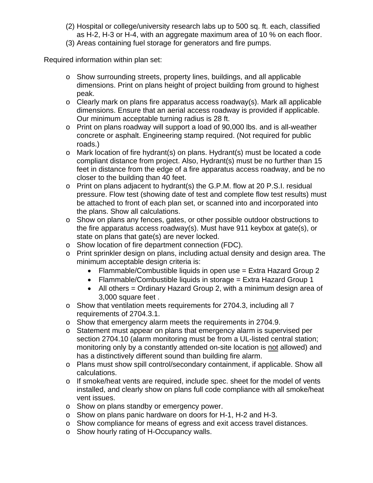- (2) Hospital or college/university research labs up to 500 sq. ft. each, classified as H-2, H-3 or H-4, with an aggregate maximum area of 10 % on each floor.
- (3) Areas containing fuel storage for generators and fire pumps.

Required information within plan set:

- $\circ$  Show surrounding streets, property lines, buildings, and all applicable dimensions. Print on plans height of project building from ground to highest peak.
- $\circ$  Clearly mark on plans fire apparatus access roadway(s). Mark all applicable dimensions. Ensure that an aerial access roadway is provided if applicable. Our minimum acceptable turning radius is 28 ft.
- o Print on plans roadway will support a load of 90,000 lbs. and is all-weather concrete or asphalt. Engineering stamp required. (Not required for public roads.)
- o Mark location of fire hydrant(s) on plans. Hydrant(s) must be located a code compliant distance from project. Also, Hydrant(s) must be no further than 15 feet in distance from the edge of a fire apparatus access roadway, and be no closer to the building than 40 feet.
- o Print on plans adjacent to hydrant(s) the G.P.M. flow at 20 P.S.I. residual pressure. Flow test (showing date of test and complete flow test results) must be attached to front of each plan set, or scanned into and incorporated into the plans. Show all calculations.
- o Show on plans any fences, gates, or other possible outdoor obstructions to the fire apparatus access roadway(s). Must have 911 keybox at gate(s), or state on plans that gate(s) are never locked.
- o Show location of fire department connection (FDC).
- o Print sprinkler design on plans, including actual density and design area. The minimum acceptable design criteria is:
	- Flammable/Combustible liquids in open use = Extra Hazard Group 2
	- Flammable/Combustible liquids in storage = Extra Hazard Group 1
	- All others = Ordinary Hazard Group 2, with a minimum design area of 3,000 square feet .
- o Show that ventilation meets requirements for 2704.3, including all 7 requirements of 2704.3.1.
- o Show that emergency alarm meets the requirements in 2704.9.
- o Statement must appear on plans that emergency alarm is supervised per section 2704.10 (alarm monitoring must be from a UL-listed central station; monitoring only by a constantly attended on-site location is not allowed) and has a distinctively different sound than building fire alarm.
- o Plans must show spill control/secondary containment, if applicable. Show all calculations.
- o If smoke/heat vents are required, include spec. sheet for the model of vents installed, and clearly show on plans full code compliance with all smoke/heat vent issues.
- o Show on plans standby or emergency power.
- o Show on plans panic hardware on doors for H-1, H-2 and H-3.
- o Show compliance for means of egress and exit access travel distances.
- o Show hourly rating of H-Occupancy walls.